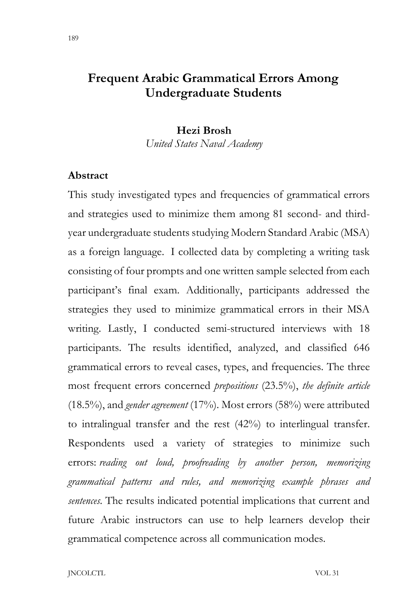# **Frequent Arabic Grammatical Errors Among Undergraduate Students**

# **Hezi Brosh**

*United States Naval Academy*

## **Abstract**

This study investigated types and frequencies of grammatical errors and strategies used to minimize them among 81 second- and thirdyear undergraduate students studying Modern Standard Arabic (MSA) as a foreign language. I collected data by completing a writing task consisting of four prompts and one written sample selected from each participant's final exam. Additionally, participants addressed the strategies they used to minimize grammatical errors in their MSA writing. Lastly, I conducted semi-structured interviews with 18 participants. The results identified, analyzed, and classified 646 grammatical errors to reveal cases, types, and frequencies. The three most frequent errors concerned *prepositions* (23.5%), *the definite article* (18.5%), and *gender agreement* (17%). Most errors (58%) were attributed to intralingual transfer and the rest (42%) to interlingual transfer. Respondents used a variety of strategies to minimize such errors: *reading out loud, proofreading by another person, memorizing grammatical patterns and rules, and memorizing example phrases and sentences.* The results indicated potential implications that current and future Arabic instructors can use to help learners develop their grammatical competence across all communication modes.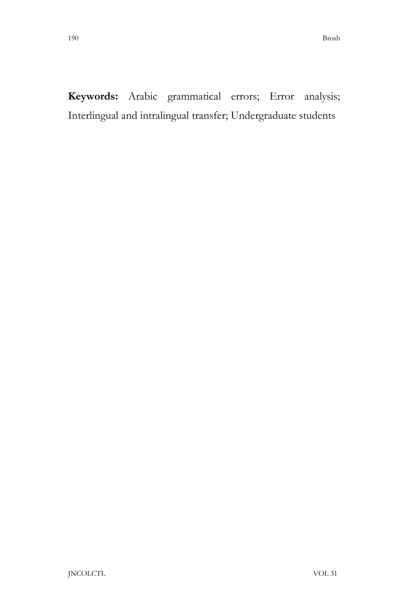**Keywords:** Arabic grammatical errors; Error analysis; Interlingual and intralingual transfer; Undergraduate students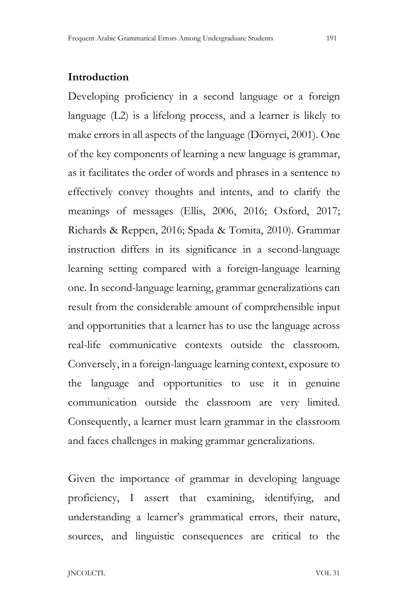## **Introduction**

Developing proficiency in a second language or a foreign language (L2) is a lifelong process, and a learner is likely to make errors in all aspects of the language (Dörnyei, 2001). One of the key components of learning a new language is grammar, as it facilitates the order of words and phrases in a sentence to effectively convey thoughts and intents, and to clarify the meanings of messages (Ellis, 2006, 2016; Oxford, 2017; Richards & Reppen, 2016; Spada & Tomita, 2010). Grammar instruction differs in its significance in a second-language learning setting compared with a foreign-language learning one. In second-language learning, grammar generalizations can result from the considerable amount of comprehensible input and opportunities that a learner has to use the language across real-life communicative contexts outside the classroom. Conversely, in a foreign-language learning context, exposure to the language and opportunities to use it in genuine communication outside the classroom are very limited. Consequently, a learner must learn grammar in the classroom and faces challenges in making grammar generalizations.

Given the importance of grammar in developing language proficiency, I assert that examining, identifying, and understanding a learner's grammatical errors, their nature, sources, and linguistic consequences are critical to the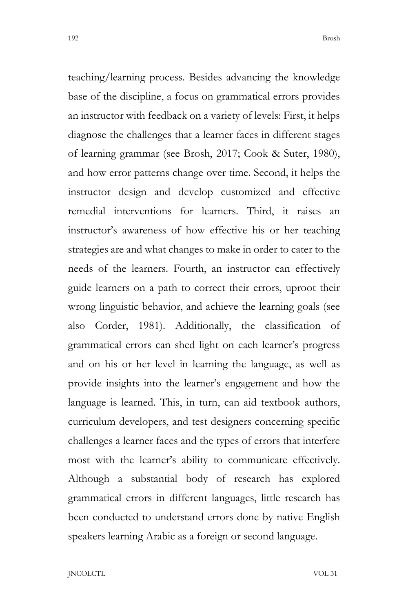teaching/learning process. Besides advancing the knowledge base of the discipline, a focus on grammatical errors provides an instructor with feedback on a variety of levels: First, it helps diagnose the challenges that a learner faces in different stages of learning grammar (see Brosh, 2017; Cook & Suter, 1980), and how error patterns change over time. Second, it helps the instructor design and develop customized and effective remedial interventions for learners. Third, it raises an instructor's awareness of how effective his or her teaching strategies are and what changes to make in order to cater to the needs of the learners. Fourth, an instructor can effectively guide learners on a path to correct their errors, uproot their wrong linguistic behavior, and achieve the learning goals (see also Corder, 1981). Additionally, the classification of grammatical errors can shed light on each learner's progress and on his or her level in learning the language, as well as provide insights into the learner's engagement and how the language is learned. This, in turn, can aid textbook authors, curriculum developers, and test designers concerning specific challenges a learner faces and the types of errors that interfere most with the learner's ability to communicate effectively. Although a substantial body of research has explored grammatical errors in different languages, little research has been conducted to understand errors done by native English speakers learning Arabic as a foreign or second language.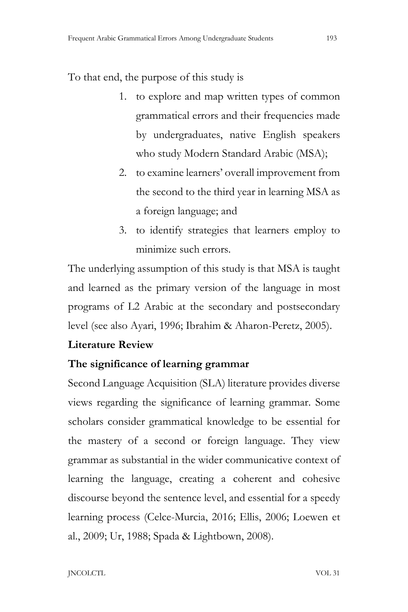To that end, the purpose of this study is

- 1. to explore and map written types of common grammatical errors and their frequencies made by undergraduates, native English speakers who study Modern Standard Arabic (MSA);
- 2. to examine learners' overall improvement from the second to the third year in learning MSA as a foreign language; and
- 3. to identify strategies that learners employ to minimize such errors.

The underlying assumption of this study is that MSA is taught and learned as the primary version of the language in most programs of L2 Arabic at the secondary and postsecondary level (see also Ayari, 1996; Ibrahim & Aharon-Peretz, 2005).

## **Literature Review**

# **The significance of learning grammar**

Second Language Acquisition (SLA) literature provides diverse views regarding the significance of learning grammar. Some scholars consider grammatical knowledge to be essential for the mastery of a second or foreign language. They view grammar as substantial in the wider communicative context of learning the language, creating a coherent and cohesive discourse beyond the sentence level, and essential for a speedy learning process (Celce-Murcia, 2016; Ellis, 2006; Loewen et al., 2009; Ur, 1988; Spada & Lightbown, 2008).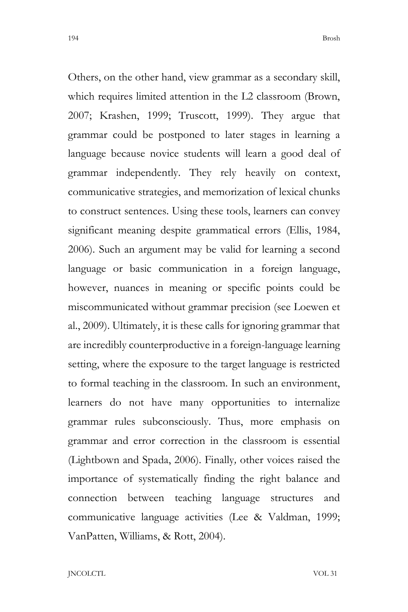Others, on the other hand, view grammar as a secondary skill, which requires limited attention in the L2 classroom (Brown, 2007; Krashen, 1999; Truscott, 1999). They argue that grammar could be postponed to later stages in learning a language because novice students will learn a good deal of grammar independently. They rely heavily on context, communicative strategies, and memorization of lexical chunks to construct sentences. Using these tools, learners can convey significant meaning despite grammatical errors (Ellis, 1984, 2006). Such an argument may be valid for learning a second language or basic communication in a foreign language, however, nuances in meaning or specific points could be miscommunicated without grammar precision (see Loewen et al., 2009). Ultimately, it is these calls for ignoring grammar that are incredibly counterproductive in a foreign-language learning setting, where the exposure to the target language is restricted to formal teaching in the classroom. In such an environment, learners do not have many opportunities to internalize grammar rules subconsciously. Thus, more emphasis on grammar and error correction in the classroom is essential (Lightbown and Spada, 2006). Finally*,* other voices raised the importance of systematically finding the right balance and connection between teaching language structures and communicative language activities (Lee & Valdman, 1999; VanPatten, Williams, & Rott, 2004).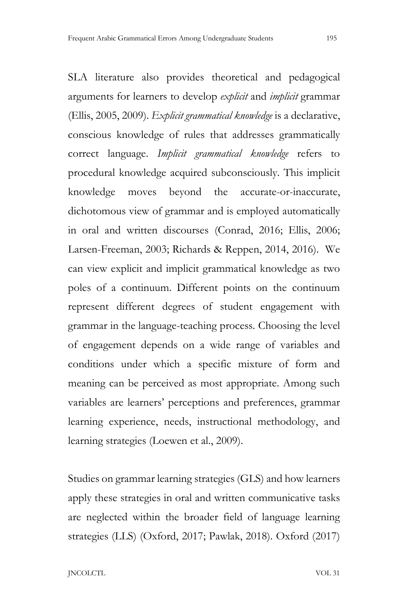SLA literature also provides theoretical and pedagogical arguments for learners to develop *explicit* and *implicit* grammar (Ellis, 2005, 2009). *Explicit grammatical knowledge* is a declarative, conscious knowledge of rules that addresses grammatically correct language. *Implicit grammatical knowledge* refers to procedural knowledge acquired subconsciously. This implicit knowledge moves beyond the accurate-or-inaccurate, dichotomous view of grammar and is employed automatically in oral and written discourses (Conrad, 2016; Ellis, 2006; Larsen-Freeman, 2003; Richards & Reppen, 2014, 2016). We can view explicit and implicit grammatical knowledge as two poles of a continuum. Different points on the continuum represent different degrees of student engagement with grammar in the language-teaching process. Choosing the level of engagement depends on a wide range of variables and conditions under which a specific mixture of form and meaning can be perceived as most appropriate. Among such variables are learners' perceptions and preferences, grammar learning experience, needs, instructional methodology, and learning strategies (Loewen et al., 2009).

Studies on grammar learning strategies (GLS) and how learners apply these strategies in oral and written communicative tasks are neglected within the broader field of language learning strategies (LLS) (Oxford, 2017; Pawlak, 2018). Oxford (2017)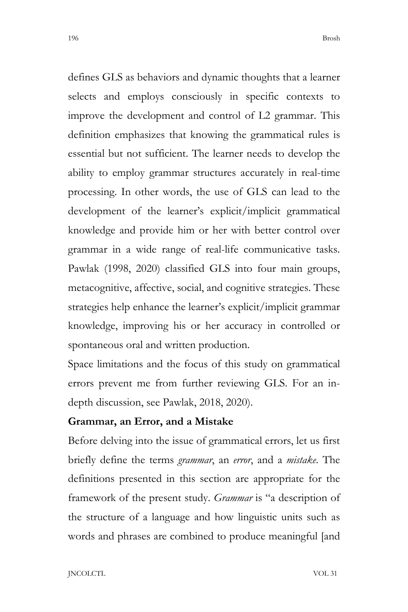defines GLS as behaviors and dynamic thoughts that a learner selects and employs consciously in specific contexts to improve the development and control of L2 grammar. This definition emphasizes that knowing the grammatical rules is essential but not sufficient. The learner needs to develop the ability to employ grammar structures accurately in real-time processing. In other words, the use of GLS can lead to the development of the learner's explicit/implicit grammatical knowledge and provide him or her with better control over grammar in a wide range of real-life communicative tasks. Pawlak (1998, 2020) classified GLS into four main groups, metacognitive, affective, social, and cognitive strategies. These strategies help enhance the learner's explicit/implicit grammar knowledge, improving his or her accuracy in controlled or spontaneous oral and written production.

Space limitations and the focus of this study on grammatical errors prevent me from further reviewing GLS. For an indepth discussion, see Pawlak, 2018, 2020).

# **Grammar, an Error, and a Mistake**

Before delving into the issue of grammatical errors, let us first briefly define the terms *grammar*, an *error*, and a *mistake*. The definitions presented in this section are appropriate for the framework of the present study. *Grammar* is "a description of the structure of a language and how linguistic units such as words and phrases are combined to produce meaningful [and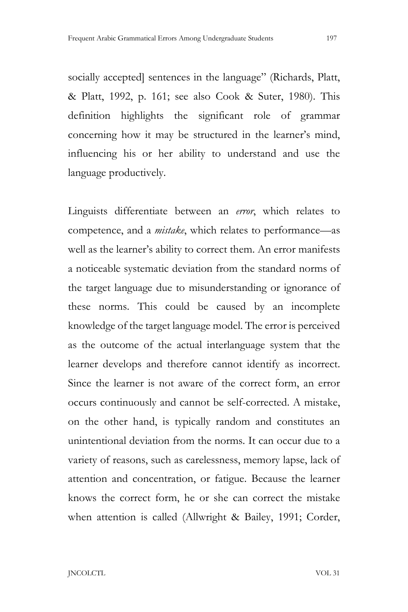socially accepted] sentences in the language" (Richards, Platt, & Platt, 1992, p. 161; see also Cook & Suter, 1980). This definition highlights the significant role of grammar concerning how it may be structured in the learner's mind, influencing his or her ability to understand and use the language productively.

Linguists differentiate between an *error*, which relates to competence, and a *mistake*, which relates to performance—as well as the learner's ability to correct them. An error manifests a noticeable systematic deviation from the standard norms of the target language due to misunderstanding or ignorance of these norms. This could be caused by an incomplete knowledge of the target language model. The error is perceived as the outcome of the actual interlanguage system that the learner develops and therefore cannot identify as incorrect. Since the learner is not aware of the correct form, an error occurs continuously and cannot be self-corrected. A mistake, on the other hand, is typically random and constitutes an unintentional deviation from the norms. It can occur due to a variety of reasons, such as carelessness, memory lapse, lack of attention and concentration, or fatigue. Because the learner knows the correct form, he or she can correct the mistake when attention is called (Allwright & Bailey, 1991; Corder,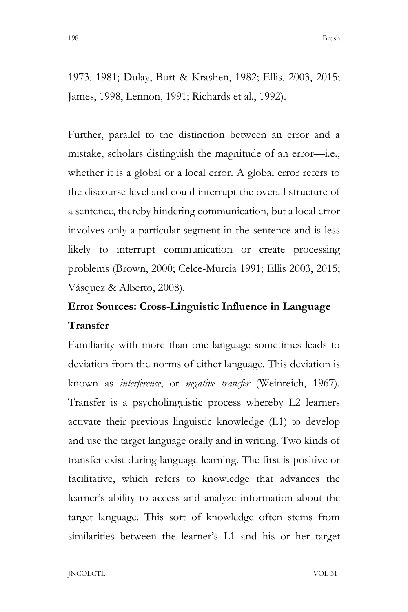1973, 1981; Dulay, Burt & Krashen, 1982; Ellis, 2003, 2015; James, 1998, Lennon, 1991; Richards et al., 1992).

Further, parallel to the distinction between an error and a mistake, scholars distinguish the magnitude of an error—i.e., whether it is a global or a local error. A global error refers to the discourse level and could interrupt the overall structure of a sentence, thereby hindering communication, but a local error involves only a particular segment in the sentence and is less likely to interrupt communication or create processing problems (Brown, 2000; Celce-Murcia 1991; Ellis 2003, 2015; Vásquez & Alberto, 2008).

# **Error Sources: Cross-Linguistic Influence in Language Transfer**

Familiarity with more than one language sometimes leads to deviation from the norms of either language. This deviation is known as *interference*, or *negative transfer* (Weinreich, 1967). Transfer is a psycholinguistic process whereby L2 learners activate their previous linguistic knowledge (L1) to develop and use the target language orally and in writing. Two kinds of transfer exist during language learning. The first is positive or facilitative, which refers to knowledge that advances the learner's ability to access and analyze information about the target language. This sort of knowledge often stems from similarities between the learner's L1 and his or her target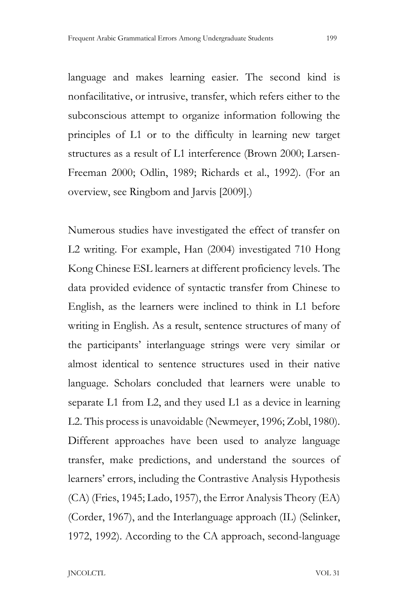language and makes learning easier. The second kind is nonfacilitative, or intrusive, transfer, which refers either to the subconscious attempt to organize information following the principles of L1 or to the difficulty in learning new target structures as a result of L1 interference (Brown 2000; Larsen-Freeman 2000; Odlin, 1989; Richards et al., 1992). (For an overview, see Ringbom and Jarvis [2009].)

Numerous studies have investigated the effect of transfer on L2 writing. For example, Han (2004) investigated 710 Hong Kong Chinese ESL learners at different proficiency levels. The data provided evidence of syntactic transfer from Chinese to English, as the learners were inclined to think in L1 before writing in English. As a result, sentence structures of many of the participants' interlanguage strings were very similar or almost identical to sentence structures used in their native language. Scholars concluded that learners were unable to separate L1 from L2, and they used L1 as a device in learning L2. This process is unavoidable (Newmeyer, 1996; Zobl, 1980). Different approaches have been used to analyze language transfer, make predictions, and understand the sources of learners' errors, including the Contrastive Analysis Hypothesis (CA) (Fries, 1945; Lado, 1957), the Error Analysis Theory (EA) (Corder, 1967), and the Interlanguage approach (IL) (Selinker, 1972, 1992). According to the CA approach, second-language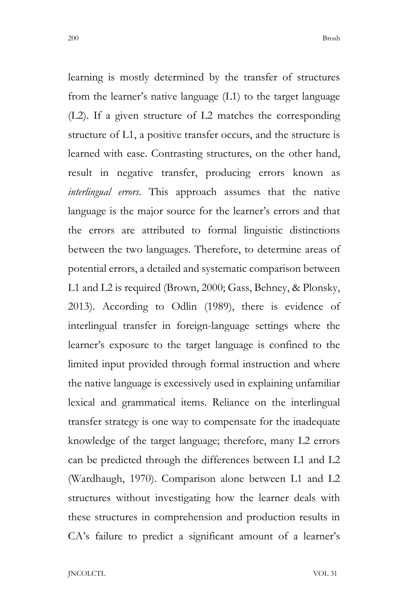learning is mostly determined by the transfer of structures from the learner's native language (L1) to the target language (L2). If a given structure of L2 matches the corresponding structure of L1, a positive transfer occurs, and the structure is learned with ease. Contrasting structures, on the other hand, result in negative transfer, producing errors known as *interlingual errors*. This approach assumes that the native language is the major source for the learner's errors and that the errors are attributed to formal linguistic distinctions between the two languages. Therefore, to determine areas of potential errors, a detailed and systematic comparison between L1 and L2 is required (Brown, 2000; Gass, Behney, & Plonsky, 2013). According to Odlin (1989), there is evidence of interlingual transfer in foreign-language settings where the learner's exposure to the target language is confined to the limited input provided through formal instruction and where the native language is excessively used in explaining unfamiliar lexical and grammatical items. Reliance on the interlingual transfer strategy is one way to compensate for the inadequate knowledge of the target language; therefore, many L2 errors can be predicted through the differences between L1 and L2 (Wardhaugh, 1970). Comparison alone between L1 and L2 structures without investigating how the learner deals with these structures in comprehension and production results in CA's failure to predict a significant amount of a learner's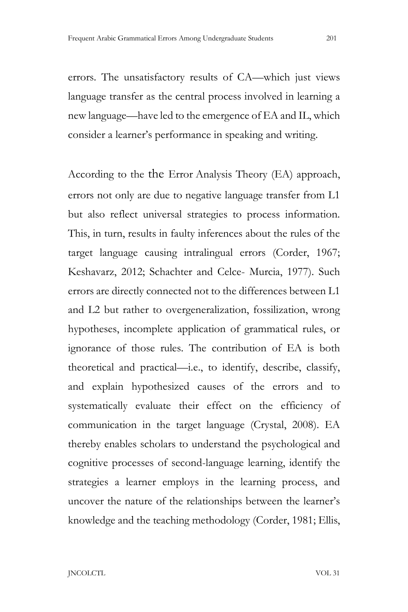errors. The unsatisfactory results of CA—which just views language transfer as the central process involved in learning a new language—have led to the emergence of EA and IL, which consider a learner's performance in speaking and writing.

According to the the Error Analysis Theory (EA) approach, errors not only are due to negative language transfer from L1 but also reflect universal strategies to process information. This, in turn, results in faulty inferences about the rules of the target language causing intralingual errors (Corder, 1967; Keshavarz, 2012; Schachter and Celce- Murcia, 1977). Such errors are directly connected not to the differences between L1 and L2 but rather to overgeneralization, fossilization, wrong hypotheses, incomplete application of grammatical rules, or ignorance of those rules. The contribution of EA is both theoretical and practical—i.e., to identify, describe, classify, and explain hypothesized causes of the errors and to systematically evaluate their effect on the efficiency of communication in the target language (Crystal, 2008). EA thereby enables scholars to understand the psychological and cognitive processes of second-language learning, identify the strategies a learner employs in the learning process, and uncover the nature of the relationships between the learner's knowledge and the teaching methodology (Corder, 1981; Ellis,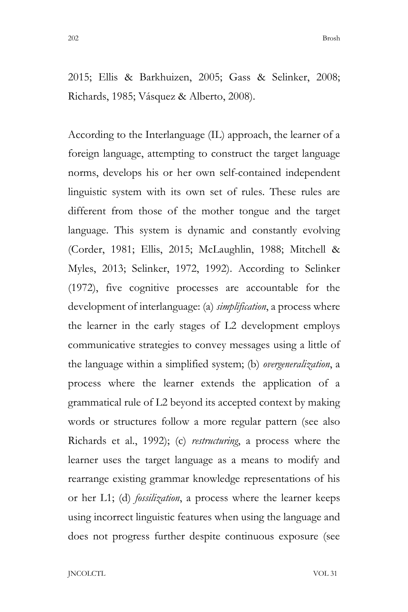2015; Ellis & Barkhuizen, 2005; Gass & Selinker, 2008; Richards, 1985; Vásquez & Alberto, 2008).

According to the Interlanguage (IL) approach, the learner of a foreign language, attempting to construct the target language norms, develops his or her own self-contained independent linguistic system with its own set of rules. These rules are different from those of the mother tongue and the target language. This system is dynamic and constantly evolving (Corder, 1981; Ellis, 2015; McLaughlin, 1988; Mitchell & Myles, 2013; Selinker, 1972, 1992). According to Selinker (1972), five cognitive processes are accountable for the development of interlanguage: (a) *simplification*, a process where the learner in the early stages of L2 development employs communicative strategies to convey messages using a little of the language within a simplified system; (b) *overgeneralization*, a process where the learner extends the application of a grammatical rule of L2 beyond its accepted context by making words or structures follow a more regular pattern (see also Richards et al., 1992); (c) *restructuring*, a process where the learner uses the target language as a means to modify and rearrange existing grammar knowledge representations of his or her L1; (d) *fossilization*, a process where the learner keeps using incorrect linguistic features when using the language and does not progress further despite continuous exposure (see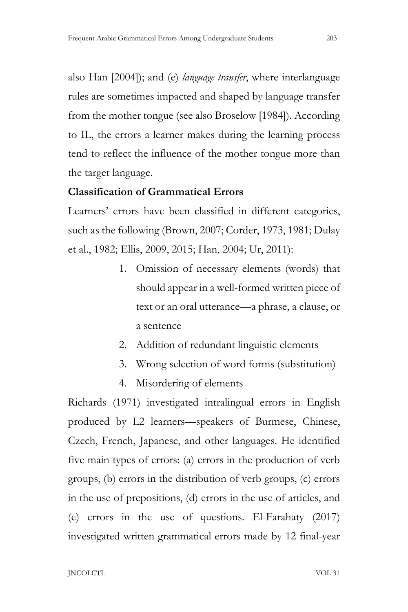also Han [2004]); and (e) *language transfer*, where interlanguage rules are sometimes impacted and shaped by language transfer from the mother tongue (see also Broselow [1984]). According to IL, the errors a learner makes during the learning process tend to reflect the influence of the mother tongue more than the target language.

## **Classification of Grammatical Errors**

Learners' errors have been classified in different categories, such as the following (Brown, 2007; Corder, 1973, 1981; Dulay et al., 1982; Ellis, 2009, 2015; Han, 2004; Ur, 2011):

- 1. Omission of necessary elements (words) that should appear in a well-formed written piece of text or an oral utterance—a phrase, a clause, or a sentence
- 2. Addition of redundant linguistic elements
- 3. Wrong selection of word forms (substitution)
- 4. Misordering of elements

Richards (1971) investigated intralingual errors in English produced by L2 learners—speakers of Burmese, Chinese, Czech, French, Japanese, and other languages. He identified five main types of errors: (a) errors in the production of verb groups, (b) errors in the distribution of verb groups, (c) errors in the use of prepositions, (d) errors in the use of articles, and (e) errors in the use of questions. El-Farahaty (2017) investigated written grammatical errors made by 12 final-year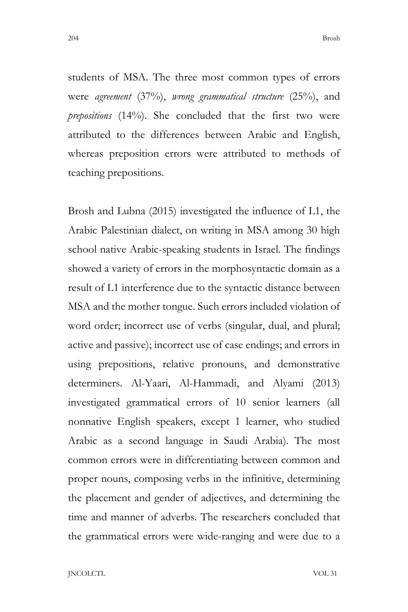students of MSA. The three most common types of errors were *agreement* (37%), *wrong grammatical structure* (25%), and *prepositions* (14%). She concluded that the first two were attributed to the differences between Arabic and English, whereas preposition errors were attributed to methods of teaching prepositions.

Brosh and Lubna (2015) investigated the influence of L1, the Arabic Palestinian dialect, on writing in MSA among 30 high school native Arabic-speaking students in Israel. The findings showed a variety of errors in the morphosyntactic domain as a result of L1 interference due to the syntactic distance between MSA and the mother tongue. Such errors included violation of word order; incorrect use of verbs (singular, dual, and plural; active and passive); incorrect use of case endings; and errors in using prepositions, relative pronouns, and demonstrative determiners. Al-Yaari, Al-Hammadi, and Alyami (2013) investigated grammatical errors of 10 senior learners (all nonnative English speakers, except 1 learner, who studied Arabic as a second language in Saudi Arabia). The most common errors were in differentiating between common and proper nouns, composing verbs in the infinitive, determining the placement and gender of adjectives, and determining the time and manner of adverbs. The researchers concluded that the grammatical errors were wide-ranging and were due to a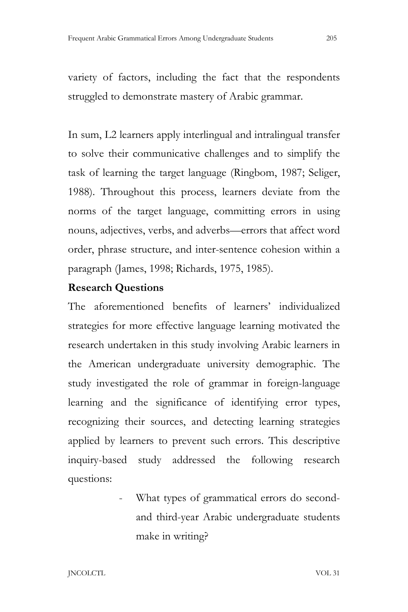variety of factors, including the fact that the respondents struggled to demonstrate mastery of Arabic grammar.

In sum, L2 learners apply interlingual and intralingual transfer to solve their communicative challenges and to simplify the task of learning the target language (Ringbom, 1987; Seliger, 1988). Throughout this process, learners deviate from the norms of the target language, committing errors in using nouns, adjectives, verbs, and adverbs—errors that affect word order, phrase structure, and inter-sentence cohesion within a paragraph (James, 1998; Richards, 1975, 1985).

## **Research Questions**

The aforementioned benefits of learners' individualized strategies for more effective language learning motivated the research undertaken in this study involving Arabic learners in the American undergraduate university demographic. The study investigated the role of grammar in foreign-language learning and the significance of identifying error types, recognizing their sources, and detecting learning strategies applied by learners to prevent such errors. This descriptive inquiry-based study addressed the following research questions:

> What types of grammatical errors do secondand third-year Arabic undergraduate students make in writing?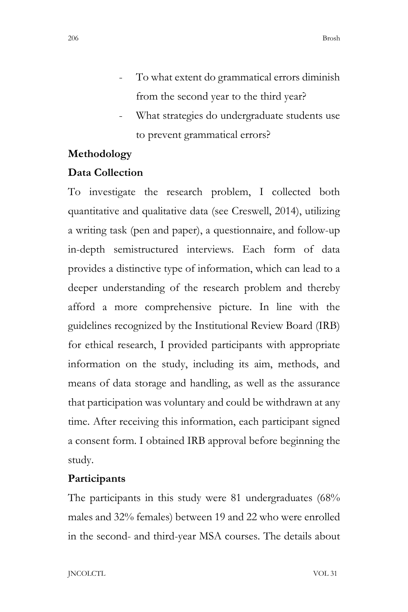- To what extent do grammatical errors diminish from the second year to the third year?
- What strategies do undergraduate students use to prevent grammatical errors?

## **Methodology**

#### **Data Collection**

To investigate the research problem, I collected both quantitative and qualitative data (see Creswell, 2014), utilizing a writing task (pen and paper), a questionnaire, and follow-up in-depth semistructured interviews. Each form of data provides a distinctive type of information, which can lead to a deeper understanding of the research problem and thereby afford a more comprehensive picture. In line with the guidelines recognized by the Institutional Review Board (IRB) for ethical research, I provided participants with appropriate information on the study, including its aim, methods, and means of data storage and handling, as well as the assurance that participation was voluntary and could be withdrawn at any time. After receiving this information, each participant signed a consent form. I obtained IRB approval before beginning the study.

#### **Participants**

The participants in this study were 81 undergraduates (68% males and 32% females) between 19 and 22 who were enrolled in the second- and third-year MSA courses. The details about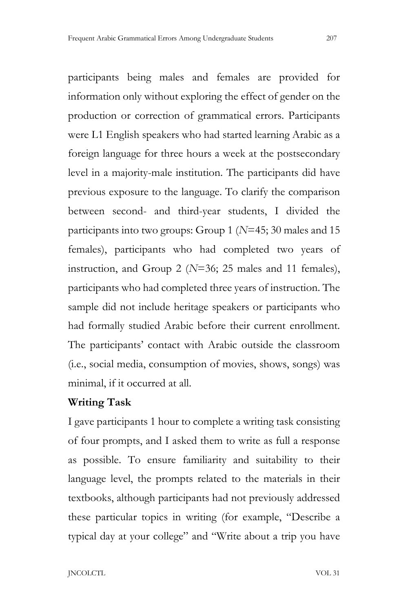participants being males and females are provided for information only without exploring the effect of gender on the production or correction of grammatical errors. Participants were L1 English speakers who had started learning Arabic as a foreign language for three hours a week at the postsecondary level in a majority-male institution. The participants did have previous exposure to the language. To clarify the comparison between second- and third-year students, I divided the participants into two groups: Group 1 (*N*=45; 30 males and 15 females), participants who had completed two years of instruction, and Group 2 (*N*=36; 25 males and 11 females), participants who had completed three years of instruction. The sample did not include heritage speakers or participants who had formally studied Arabic before their current enrollment. The participants' contact with Arabic outside the classroom (i.e., social media, consumption of movies, shows, songs) was minimal, if it occurred at all.

## **Writing Task**

I gave participants 1 hour to complete a writing task consisting of four prompts, and I asked them to write as full a response as possible. To ensure familiarity and suitability to their language level, the prompts related to the materials in their textbooks, although participants had not previously addressed these particular topics in writing (for example, "Describe a typical day at your college" and "Write about a trip you have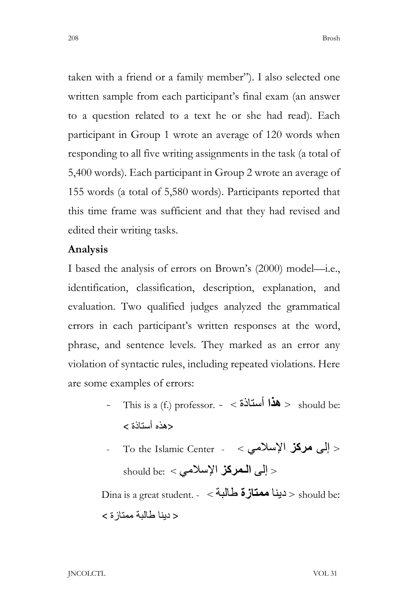taken with a friend or a family member"). I also selected one written sample from each participant's final exam (an answer to a question related to a text he or she had read). Each participant in Group 1 wrote an average of 120 words when responding to all five writing assignments in the task (a total of 5,400 words). Each participant in Group 2 wrote an average of 155 words (a total of 5,580 words). Participants reported that this time frame was sufficient and that they had revised and edited their writing tasks.

#### **Analysis**

I based the analysis of errors on Brown's (2000) model—i.e., identification, classification, description, explanation, and evaluation. Two qualified judges analyzed the grammatical errors in each participant's written responses at the word, phrase, and sentence levels. They marked as an error any violation of syntactic rules, including repeated violations. Here are some examples of errors:

- This is a (f.) professor. < أستاذة **ھذا** < should be: <ھذه أستاذة >
- To the Islamic Center < الإسلامي **مركز** إلى< < إلى **الـمركز** الإسلامي > :be should

Dina is a great student. - < طالبة **ممتازة** دینا < should be: < دینا طالبة ممتازة >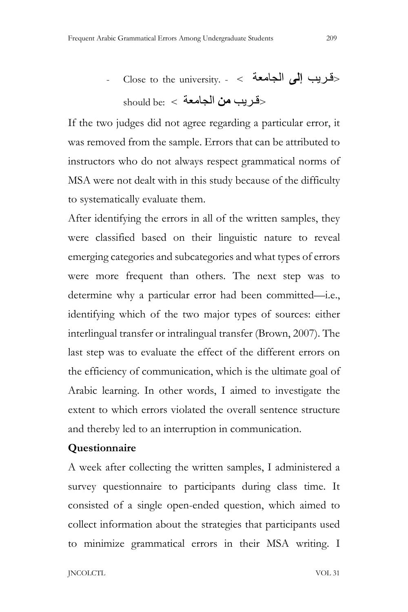- Close to the university. - < الجامعة **إلى** قـریب < <قـریب **من** الجامعة > :be should

If the two judges did not agree regarding a particular error, it was removed from the sample. Errors that can be attributed to instructors who do not always respect grammatical norms of MSA were not dealt with in this study because of the difficulty to systematically evaluate them.

After identifying the errors in all of the written samples, they were classified based on their linguistic nature to reveal emerging categories and subcategories and what types of errors were more frequent than others. The next step was to determine why a particular error had been committed—i.e., identifying which of the two major types of sources: either interlingual transfer or intralingual transfer (Brown, 2007). The last step was to evaluate the effect of the different errors on the efficiency of communication, which is the ultimate goal of Arabic learning. In other words, I aimed to investigate the extent to which errors violated the overall sentence structure and thereby led to an interruption in communication.

## **Questionnaire**

A week after collecting the written samples, I administered a survey questionnaire to participants during class time. It consisted of a single open-ended question, which aimed to collect information about the strategies that participants used to minimize grammatical errors in their MSA writing. I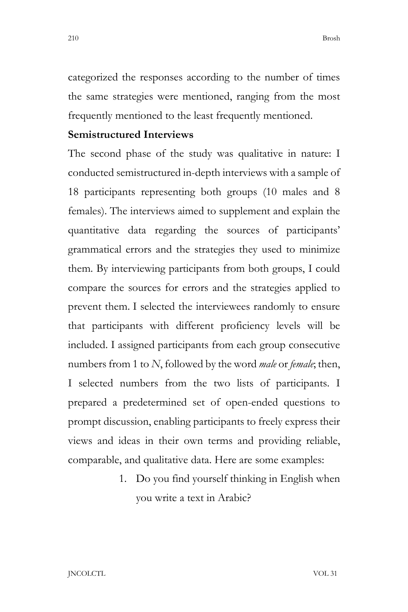categorized the responses according to the number of times the same strategies were mentioned, ranging from the most frequently mentioned to the least frequently mentioned.

## **Semistructured Interviews**

The second phase of the study was qualitative in nature: I conducted semistructured in-depth interviews with a sample of 18 participants representing both groups (10 males and 8 females). The interviews aimed to supplement and explain the quantitative data regarding the sources of participants' grammatical errors and the strategies they used to minimize them. By interviewing participants from both groups, I could compare the sources for errors and the strategies applied to prevent them. I selected the interviewees randomly to ensure that participants with different proficiency levels will be included. I assigned participants from each group consecutive numbers from 1 to *N*, followed by the word *male* or *female*; then, I selected numbers from the two lists of participants. I prepared a predetermined set of open-ended questions to prompt discussion, enabling participants to freely express their views and ideas in their own terms and providing reliable, comparable, and qualitative data. Here are some examples:

> 1. Do you find yourself thinking in English when you write a text in Arabic?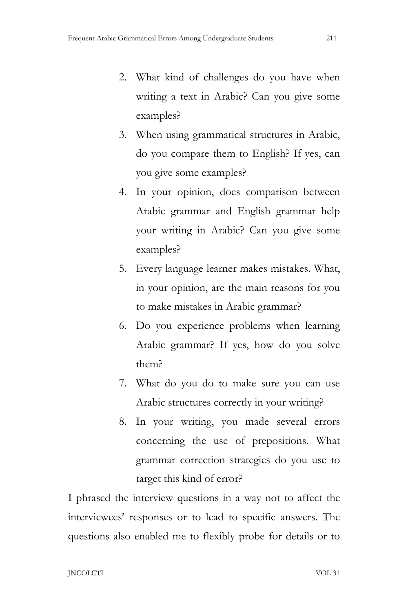- 2. What kind of challenges do you have when writing a text in Arabic? Can you give some examples?
- 3. When using grammatical structures in Arabic, do you compare them to English? If yes, can you give some examples?
- 4. In your opinion, does comparison between Arabic grammar and English grammar help your writing in Arabic? Can you give some examples?
- 5. Every language learner makes mistakes. What, in your opinion, are the main reasons for you to make mistakes in Arabic grammar?
- 6. Do you experience problems when learning Arabic grammar? If yes, how do you solve them?
- 7. What do you do to make sure you can use Arabic structures correctly in your writing?
- 8. In your writing, you made several errors concerning the use of prepositions. What grammar correction strategies do you use to target this kind of error?

I phrased the interview questions in a way not to affect the interviewees' responses or to lead to specific answers. The questions also enabled me to flexibly probe for details or to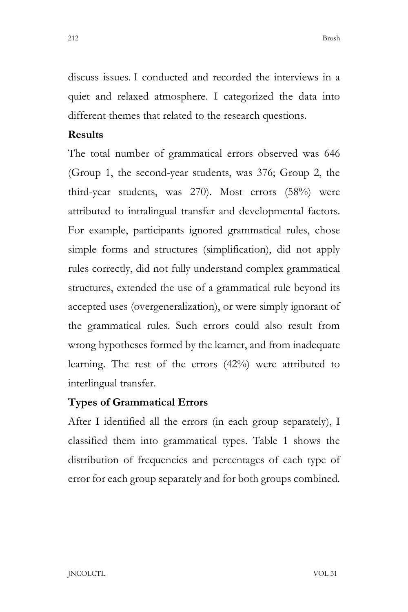212 Brosh

discuss issues. I conducted and recorded the interviews in a quiet and relaxed atmosphere. I categorized the data into different themes that related to the research questions.

#### **Results**

The total number of grammatical errors observed was 646 (Group 1, the second-year students, was 376; Group 2, the third-year students, was 270). Most errors (58%) were attributed to intralingual transfer and developmental factors. For example, participants ignored grammatical rules, chose simple forms and structures (simplification), did not apply rules correctly, did not fully understand complex grammatical structures, extended the use of a grammatical rule beyond its accepted uses (overgeneralization), or were simply ignorant of the grammatical rules. Such errors could also result from wrong hypotheses formed by the learner, and from inadequate learning. The rest of the errors (42%) were attributed to interlingual transfer.

#### **Types of Grammatical Errors**

After I identified all the errors (in each group separately), I classified them into grammatical types. Table 1 shows the distribution of frequencies and percentages of each type of error for each group separately and for both groups combined.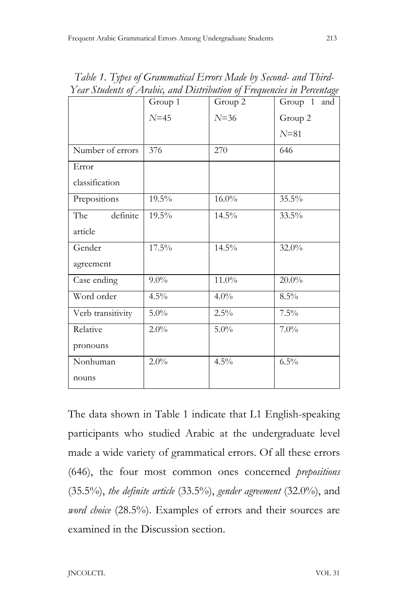|                   | Group 1          | Group 2  | Group 1 and |
|-------------------|------------------|----------|-------------|
|                   | $N=45$           | $N = 36$ | Group 2     |
|                   |                  |          | $N=81$      |
| Number of errors  | $\overline{376}$ | 270      | 646         |
| Error             |                  |          |             |
| classification    |                  |          |             |
| Prepositions      | 19.5%            | $16.0\%$ | 35.5%       |
| definite<br>The   | 19.5%            | 14.5%    | $33.5\%$    |
| article           |                  |          |             |
| Gender            | 17.5%            | 14.5%    | $32.0\%$    |
| agreement         |                  |          |             |
| Case ending       | $9.0\%$          | 11.0%    | 20.0%       |
| Word order        | $4.5\%$          | $4.0\%$  | $8.5\%$     |
| Verb transitivity | $5.0\%$          | $2.5\%$  | $7.5\%$     |
| Relative          | $2.0\%$          | 5.0%     | 7.0%        |
| pronouns          |                  |          |             |
| Nonhuman          | 2.0%             | 4.5%     | 6.5%        |
| nouns             |                  |          |             |

*Table 1. Types of Grammatical Errors Made by Second- and Third-Year Students of Arabic, and Distribution of Frequencies in Percentage*

The data shown in Table 1 indicate that L1 English-speaking participants who studied Arabic at the undergraduate level made a wide variety of grammatical errors. Of all these errors (646), the four most common ones concerned *prepositions* (35.5%), *the definite article* (33.5%), *gender agreement* (32.0%), and *word choice* (28.5%). Examples of errors and their sources are examined in the Discussion section.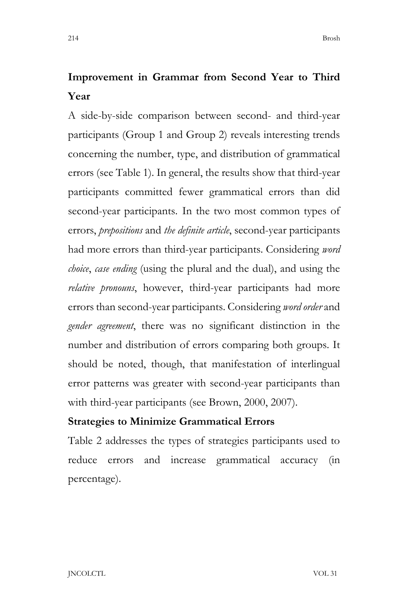# **Improvement in Grammar from Second Year to Third Year**

A side-by-side comparison between second- and third-year participants (Group 1 and Group 2) reveals interesting trends concerning the number, type, and distribution of grammatical errors (see Table 1). In general, the results show that third-year participants committed fewer grammatical errors than did second-year participants. In the two most common types of errors, *prepositions* and *the definite article*, second-year participants had more errors than third-year participants. Considering *word choice*, *case ending* (using the plural and the dual), and using the *relative pronouns*, however, third-year participants had more errors than second-year participants. Considering *word order* and *gender agreement*, there was no significant distinction in the number and distribution of errors comparing both groups. It should be noted, though, that manifestation of interlingual error patterns was greater with second-year participants than with third-year participants (see Brown, 2000, 2007).

## **Strategies to Minimize Grammatical Errors**

Table 2 addresses the types of strategies participants used to reduce errors and increase grammatical accuracy (in percentage).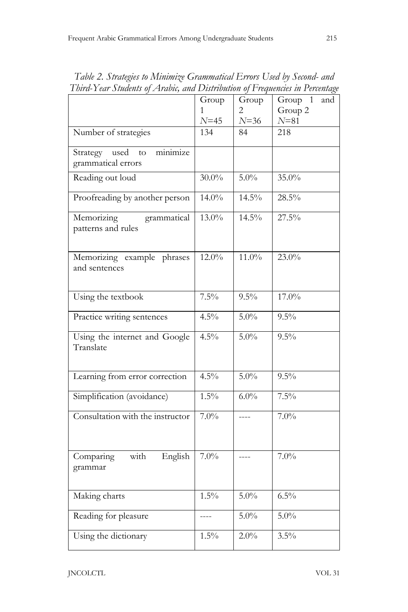|                                                    | Group    | Group    | Group 1<br>and |
|----------------------------------------------------|----------|----------|----------------|
|                                                    | 1        | 2        | Group 2        |
|                                                    | $N = 45$ | $N = 36$ | $N = 81$       |
| Number of strategies                               | 134      | 84       | 218            |
| Strategy used to<br>minimize<br>grammatical errors |          |          |                |
| Reading out loud                                   | $30.0\%$ | $5.0\%$  | 35.0%          |
| Proofreading by another person                     | 14.0%    | 14.5%    | 28.5%          |
| Memorizing<br>grammatical<br>patterns and rules    | 13.0%    | $14.5\%$ | 27.5%          |
| Memorizing example phrases<br>and sentences        | $12.0\%$ | 11.0%    | 23.0%          |
| Using the textbook                                 | 7.5%     | $9.5\%$  | 17.0%          |
| Practice writing sentences                         | 4.5%     | $5.0\%$  | $9.5\%$        |
| Using the internet and Google<br>Translate         | $4.5\%$  | $5.0\%$  | $9.5\%$        |
| Learning from error correction                     | $4.5\%$  | $5.0\%$  | $9.5\%$        |
| Simplification (avoidance)                         | $1.5\%$  | $6.0\%$  | 7.5%           |
| Consultation with the instructor                   | $7.0\%$  |          | 7.0%           |
| with<br>Comparing<br>English<br>grammar            | $7.0\%$  |          | $7.0\%$        |
| Making charts                                      | $1.5\%$  | $5.0\%$  | $6.5\%$        |
| Reading for pleasure                               |          | 5.0%     | $5.0\%$        |
| Using the dictionary                               | $1.5\%$  | $2.0\%$  | $3.5\%$        |

*Table 2. Strategies to Minimize Grammatical Errors Used by Second- and Third-Year Students of Arabic, and Distribution of Frequencies in Percentage*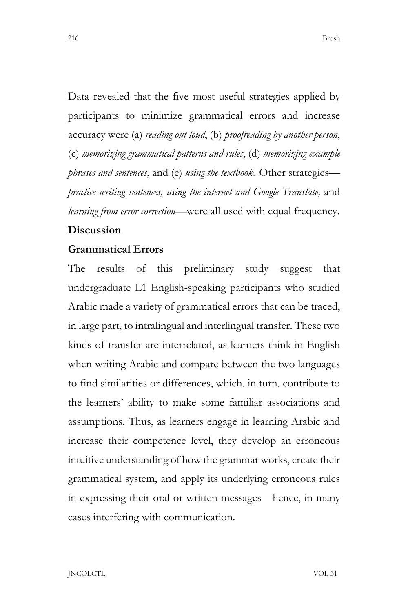Data revealed that the five most useful strategies applied by participants to minimize grammatical errors and increase accuracy were (a) *reading out loud*, (b) *proofreading by another person*, (c) *memorizing grammatical patterns and rules*, (d) *memorizing example phrases and sentences*, and (e) *using the textbook*. Other strategies *practice writing sentences, using the internet and Google Translate,* and *learning from error correction—*were all used with equal frequency.

## **Discussion**

## **Grammatical Errors**

The results of this preliminary study suggest that undergraduate L1 English-speaking participants who studied Arabic made a variety of grammatical errors that can be traced, in large part, to intralingual and interlingual transfer. These two kinds of transfer are interrelated, as learners think in English when writing Arabic and compare between the two languages to find similarities or differences, which, in turn, contribute to the learners' ability to make some familiar associations and assumptions. Thus, as learners engage in learning Arabic and increase their competence level, they develop an erroneous intuitive understanding of how the grammar works, create their grammatical system, and apply its underlying erroneous rules in expressing their oral or written messages—hence, in many cases interfering with communication.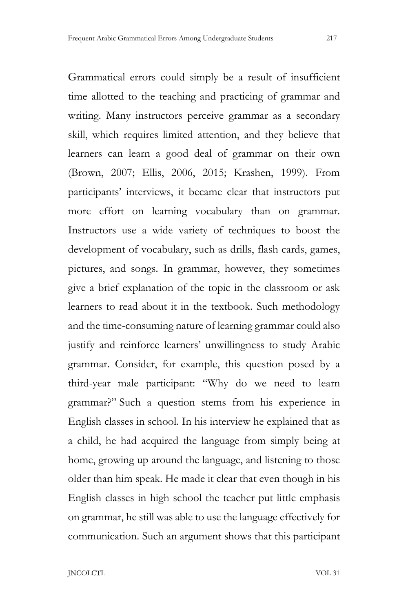Grammatical errors could simply be a result of insufficient time allotted to the teaching and practicing of grammar and writing. Many instructors perceive grammar as a secondary skill, which requires limited attention, and they believe that learners can learn a good deal of grammar on their own (Brown, 2007; Ellis, 2006, 2015; Krashen, 1999). From participants' interviews, it became clear that instructors put more effort on learning vocabulary than on grammar. Instructors use a wide variety of techniques to boost the development of vocabulary, such as drills, flash cards, games, pictures, and songs. In grammar, however, they sometimes give a brief explanation of the topic in the classroom or ask learners to read about it in the textbook. Such methodology and the time-consuming nature of learning grammar could also justify and reinforce learners' unwillingness to study Arabic grammar. Consider, for example, this question posed by a third-year male participant: "Why do we need to learn grammar?" Such a question stems from his experience in English classes in school. In his interview he explained that as a child, he had acquired the language from simply being at home, growing up around the language, and listening to those older than him speak. He made it clear that even though in his English classes in high school the teacher put little emphasis on grammar, he still was able to use the language effectively for communication. Such an argument shows that this participant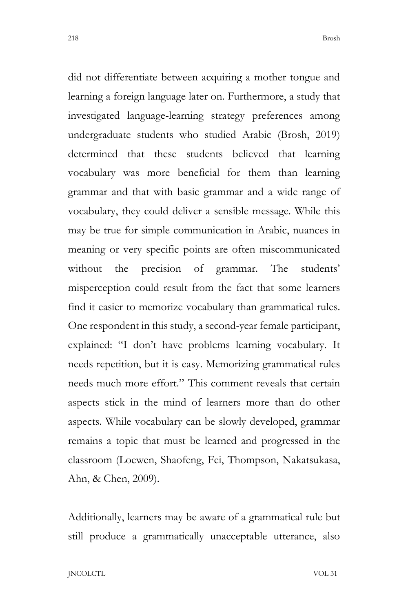did not differentiate between acquiring a mother tongue and learning a foreign language later on. Furthermore, a study that investigated language-learning strategy preferences among undergraduate students who studied Arabic (Brosh, 2019) determined that these students believed that learning vocabulary was more beneficial for them than learning grammar and that with basic grammar and a wide range of vocabulary, they could deliver a sensible message. While this may be true for simple communication in Arabic, nuances in meaning or very specific points are often miscommunicated without the precision of grammar. The students' misperception could result from the fact that some learners find it easier to memorize vocabulary than grammatical rules. One respondent in this study, a second-year female participant, explained: "I don't have problems learning vocabulary. It needs repetition, but it is easy. Memorizing grammatical rules needs much more effort." This comment reveals that certain aspects stick in the mind of learners more than do other aspects. While vocabulary can be slowly developed, grammar remains a topic that must be learned and progressed in the classroom (Loewen, Shaofeng, Fei, Thompson, Nakatsukasa, Ahn, & Chen, 2009).

Additionally, learners may be aware of a grammatical rule but still produce a grammatically unacceptable utterance, also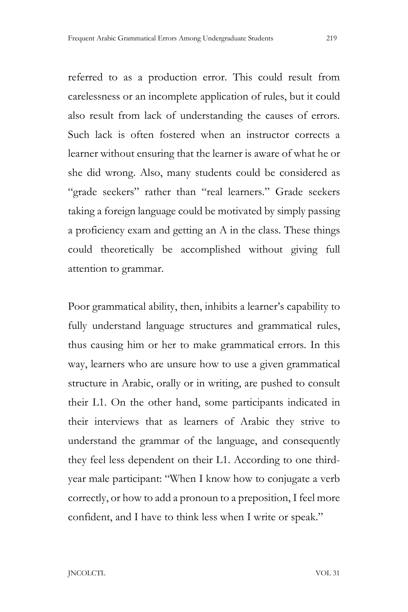referred to as a production error. This could result from carelessness or an incomplete application of rules, but it could also result from lack of understanding the causes of errors. Such lack is often fostered when an instructor corrects a learner without ensuring that the learner is aware of what he or she did wrong. Also, many students could be considered as "grade seekers" rather than "real learners." Grade seekers taking a foreign language could be motivated by simply passing a proficiency exam and getting an A in the class. These things could theoretically be accomplished without giving full attention to grammar.

Poor grammatical ability, then, inhibits a learner's capability to fully understand language structures and grammatical rules, thus causing him or her to make grammatical errors. In this way, learners who are unsure how to use a given grammatical structure in Arabic, orally or in writing, are pushed to consult their L1. On the other hand, some participants indicated in their interviews that as learners of Arabic they strive to understand the grammar of the language, and consequently they feel less dependent on their L1. According to one thirdyear male participant: "When I know how to conjugate a verb correctly, or how to add a pronoun to a preposition, I feel more confident, and I have to think less when I write or speak."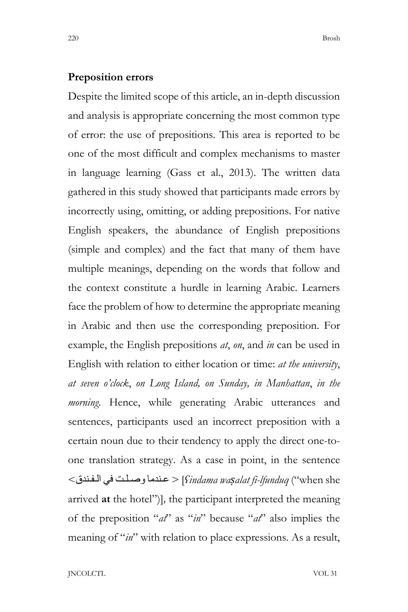#### **Preposition errors**

Despite the limited scope of this article, an in-depth discussion and analysis is appropriate concerning the most common type of error: the use of prepositions. This area is reported to be one of the most difficult and complex mechanisms to master in language learning (Gass et al., 2013). The written data gathered in this study showed that participants made errors by incorrectly using, omitting, or adding prepositions. For native English speakers, the abundance of English prepositions (simple and complex) and the fact that many of them have multiple meanings, depending on the words that follow and the context constitute a hurdle in learning Arabic. Learners face the problem of how to determine the appropriate meaning in Arabic and then use the corresponding preposition. For example, the English prepositions *at*, *on*, and *in* can be used in English with relation to either location or time: *at the university*, *at seven o'clock*, *on Long Island, on Sunday, in Manhattan*, *in the morning*. Hence, while generating Arabic utterances and sentences, participants used an incorrect preposition with a certain noun due to their tendency to apply the direct one-toone translation strategy. As a case in point, in the sentence <الـفـندق في وصـلـت عـندما] < *ʕindama waṣalat fi-lfunduq* ("when she arrived **at** the hotel")]*,* the participant interpreted the meaning of the preposition "*at*" as "*in*" because "*at*" also implies the meaning of "*in*" with relation to place expressions. As a result,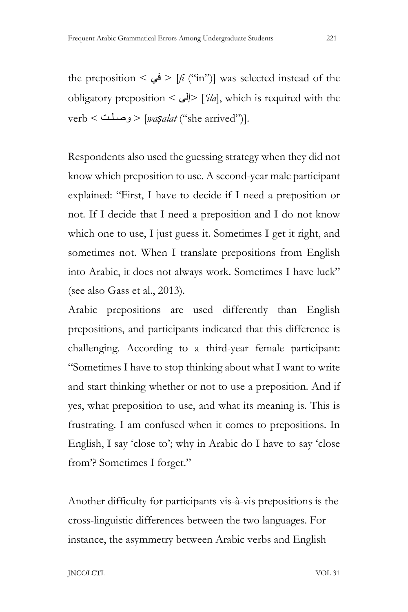the preposition  $\leq \xi$   $\leq$   $\frac{f}{i}$  ("in")] was selected instead of the obligatory preposition < إلى*'*] <*ila*], which is required with the verb < وصـلـت] < *waṣalat* ("she arrived")].

Respondents also used the guessing strategy when they did not know which preposition to use. A second-year male participant explained: "First, I have to decide if I need a preposition or not. If I decide that I need a preposition and I do not know which one to use, I just guess it. Sometimes I get it right, and sometimes not. When I translate prepositions from English into Arabic, it does not always work. Sometimes I have luck" (see also Gass et al., 2013).

Arabic prepositions are used differently than English prepositions, and participants indicated that this difference is challenging. According to a third-year female participant: "Sometimes I have to stop thinking about what I want to write and start thinking whether or not to use a preposition. And if yes, what preposition to use, and what its meaning is. This is frustrating. I am confused when it comes to prepositions. In English, I say 'close to'; why in Arabic do I have to say 'close from'? Sometimes I forget."

Another difficulty for participants vis-à-vis prepositions is the cross-linguistic differences between the two languages. For instance, the asymmetry between Arabic verbs and English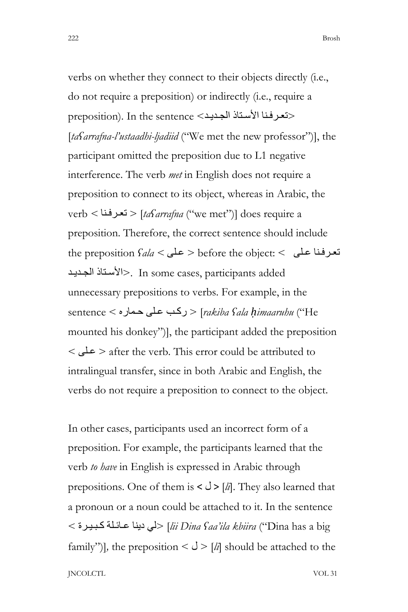verbs on whether they connect to their objects directly (i.e., do not require a preposition) or indirectly (i.e., require a preposition). In the sentence <<الجـدیـد الأسـتاذ الجـدیـد الجـدیـد [*taʕarrafna-l'ustaadhi-ljadiid* ("We met the new professor")], the participant omitted the preposition due to L1 negative interference. The verb *met* in English does not require a preposition to connect to its object, whereas in Arabic, the verb *<* تعـرفـنا] < *taʕarrafna* ("we met")] does require a preposition. Therefore, the correct sentence should include the preposition *ʕala <* عـلى < before the object: < عـلى تعـرفـنا الجـدیـد الأسـتاذ<. In some cases, participants added unnecessary prepositions to verbs. For example, in the sentence < حـماره عـلى ركـب] < *rakiba ʕala ḥimaaruhu* ("He mounted his donkey")], the participant added the preposition < عـلى < after the verb. This error could be attributed to

intralingual transfer, since in both Arabic and English, the verbs do not require a preposition to connect to the object.

In other cases, participants used an incorrect form of a preposition. For example, the participants learned that the verb *to have* in English is expressed in Arabic through prepositions. One of them is  $\langle \bigcup \rangle$  [*li*]. They also learned that a pronoun or a noun could be attached to it. In the sentence < كـبـیـرة عـائـلة دینا لي] <*lii Dina ʕaa'ila kbiira* ("Dina has a big family")], the preposition  $\langle \bigcup \rangle$  [*k*] should be attached to the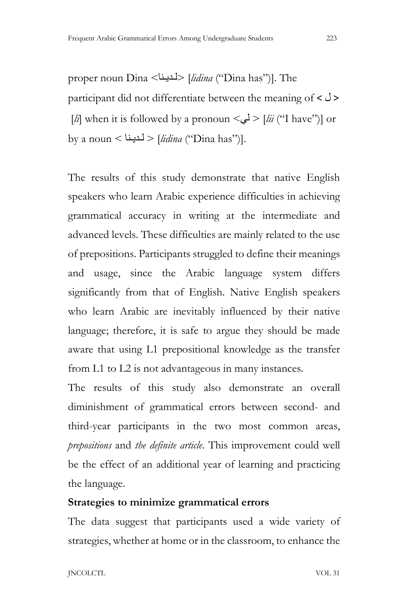proper noun Dina <لـدیـنا] <*lidina* ("Dina has")]. The participant did not differentiate between the meaning of < ل<  $\lceil \frac{li}{ii} \rceil$  when it is followed by a pronoun  $\leq L$   $\lceil \frac{li}{ii} \rceil$  ("I have")] or by a noun < لـدیـنا] < *lidina* ("Dina has")].

The results of this study demonstrate that native English speakers who learn Arabic experience difficulties in achieving grammatical accuracy in writing at the intermediate and advanced levels. These difficulties are mainly related to the use of prepositions. Participants struggled to define their meanings and usage, since the Arabic language system differs significantly from that of English. Native English speakers who learn Arabic are inevitably influenced by their native language; therefore, it is safe to argue they should be made aware that using L1 prepositional knowledge as the transfer from L1 to L2 is not advantageous in many instances.

The results of this study also demonstrate an overall diminishment of grammatical errors between second- and third-year participants in the two most common areas, *prepositions* and *the definite article*. This improvement could well be the effect of an additional year of learning and practicing the language.

#### **Strategies to minimize grammatical errors**

The data suggest that participants used a wide variety of strategies, whether at home or in the classroom, to enhance the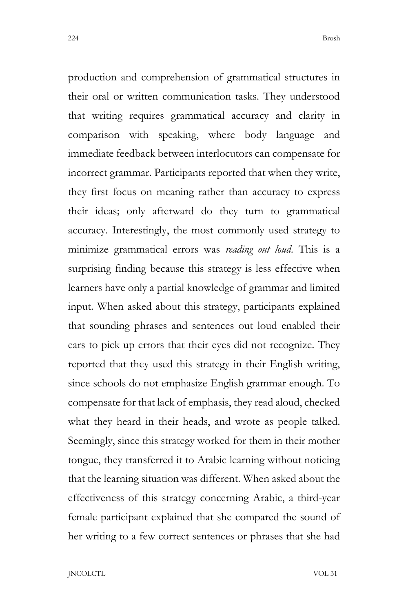production and comprehension of grammatical structures in their oral or written communication tasks. They understood that writing requires grammatical accuracy and clarity in comparison with speaking, where body language and immediate feedback between interlocutors can compensate for incorrect grammar. Participants reported that when they write, they first focus on meaning rather than accuracy to express their ideas; only afterward do they turn to grammatical accuracy. Interestingly, the most commonly used strategy to minimize grammatical errors was *reading out loud*. This is a surprising finding because this strategy is less effective when learners have only a partial knowledge of grammar and limited input. When asked about this strategy, participants explained that sounding phrases and sentences out loud enabled their ears to pick up errors that their eyes did not recognize. They reported that they used this strategy in their English writing, since schools do not emphasize English grammar enough. To compensate for that lack of emphasis, they read aloud, checked what they heard in their heads, and wrote as people talked. Seemingly, since this strategy worked for them in their mother tongue, they transferred it to Arabic learning without noticing that the learning situation was different. When asked about the effectiveness of this strategy concerning Arabic, a third-year female participant explained that she compared the sound of her writing to a few correct sentences or phrases that she had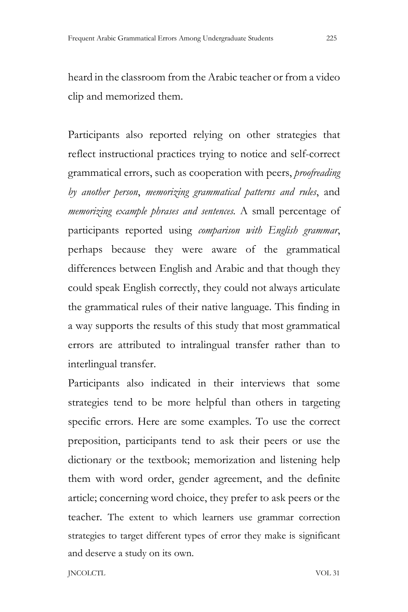heard in the classroom from the Arabic teacher or from a video clip and memorized them.

Participants also reported relying on other strategies that reflect instructional practices trying to notice and self-correct grammatical errors, such as cooperation with peers, *proofreading by another person*, *memorizing grammatical patterns and rules*, and *memorizing example phrases and sentences.* A small percentage of participants reported using *comparison with English grammar*, perhaps because they were aware of the grammatical differences between English and Arabic and that though they could speak English correctly, they could not always articulate the grammatical rules of their native language. This finding in a way supports the results of this study that most grammatical errors are attributed to intralingual transfer rather than to interlingual transfer.

Participants also indicated in their interviews that some strategies tend to be more helpful than others in targeting specific errors. Here are some examples. To use the correct preposition, participants tend to ask their peers or use the dictionary or the textbook; memorization and listening help them with word order, gender agreement, and the definite article; concerning word choice, they prefer to ask peers or the teacher. The extent to which learners use grammar correction strategies to target different types of error they make is significant and deserve a study on its own.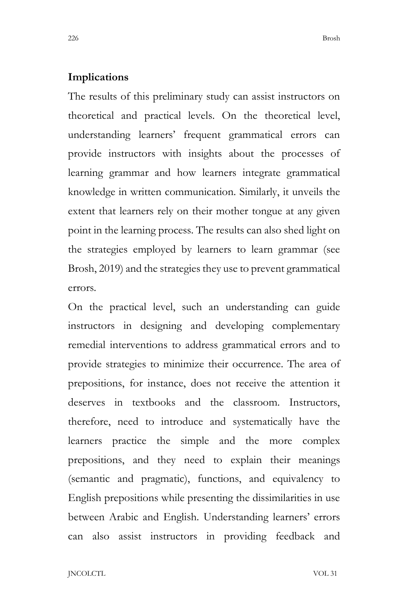#### **Implications**

The results of this preliminary study can assist instructors on theoretical and practical levels. On the theoretical level, understanding learners' frequent grammatical errors can provide instructors with insights about the processes of learning grammar and how learners integrate grammatical knowledge in written communication. Similarly, it unveils the extent that learners rely on their mother tongue at any given point in the learning process. The results can also shed light on the strategies employed by learners to learn grammar (see Brosh, 2019) and the strategies they use to prevent grammatical errors.

On the practical level, such an understanding can guide instructors in designing and developing complementary remedial interventions to address grammatical errors and to provide strategies to minimize their occurrence. The area of prepositions, for instance, does not receive the attention it deserves in textbooks and the classroom. Instructors, therefore, need to introduce and systematically have the learners practice the simple and the more complex prepositions, and they need to explain their meanings (semantic and pragmatic), functions, and equivalency to English prepositions while presenting the dissimilarities in use between Arabic and English. Understanding learners' errors can also assist instructors in providing feedback and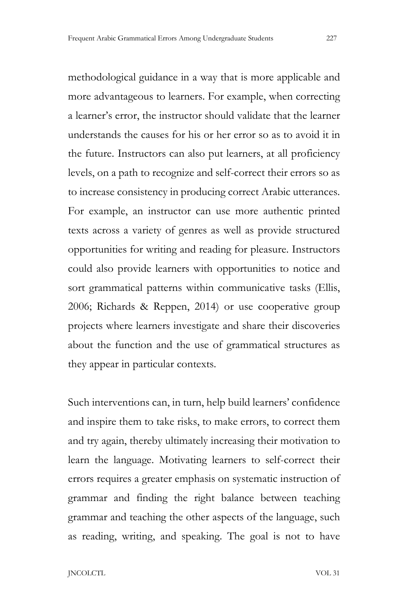methodological guidance in a way that is more applicable and more advantageous to learners. For example, when correcting a learner's error, the instructor should validate that the learner understands the causes for his or her error so as to avoid it in the future. Instructors can also put learners, at all proficiency levels, on a path to recognize and self-correct their errors so as to increase consistency in producing correct Arabic utterances. For example, an instructor can use more authentic printed texts across a variety of genres as well as provide structured opportunities for writing and reading for pleasure. Instructors could also provide learners with opportunities to notice and sort grammatical patterns within communicative tasks (Ellis, 2006; Richards & Reppen, 2014) or use cooperative group projects where learners investigate and share their discoveries about the function and the use of grammatical structures as they appear in particular contexts.

Such interventions can, in turn, help build learners' confidence and inspire them to take risks, to make errors, to correct them and try again, thereby ultimately increasing their motivation to learn the language. Motivating learners to self-correct their errors requires a greater emphasis on systematic instruction of grammar and finding the right balance between teaching grammar and teaching the other aspects of the language, such as reading, writing, and speaking. The goal is not to have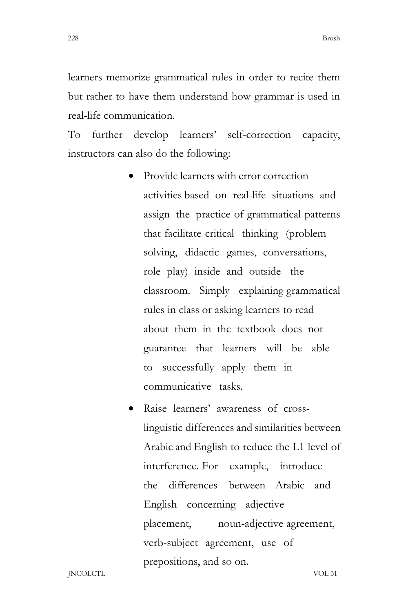learners memorize grammatical rules in order to recite them but rather to have them understand how grammar is used in real-life communication.

To further develop learners' self-correction capacity, instructors can also do the following:

- Provide learners with error correction activities based on real-life situations and assign the practice of grammatical patterns that facilitate critical thinking (problem solving, didactic games, conversations, role play) inside and outside the classroom. Simply explaining grammatical rules in class or asking learners to read about them in the textbook does not guarantee that learners will be able to successfully apply them in communicative tasks.
- Raise learners' awareness of crosslinguistic differences and similarities between Arabic and English to reduce the L1 level of interference. For example, introduce the differences between Arabic and English concerning adjective placement, noun-adjective agreement, verb-subject agreement, use of prepositions, and so on.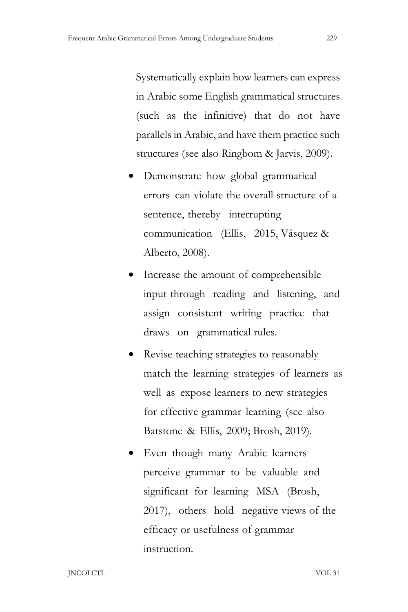Systematically explain how learners can express in Arabic some English grammatical structures (such as the infinitive) that do not have parallels in Arabic, and have them practice such structures (see also Ringbom & Jarvis, 2009).

- Demonstrate how global grammatical errors can violate the overall structure of a sentence, thereby interrupting communication (Ellis, 2015, Vásquez & Alberto, 2008).
- Increase the amount of comprehensible input through reading and listening, and assign consistent writing practice that draws on grammatical rules.
- Revise teaching strategies to reasonably match the learning strategies of learners as well as expose learners to new strategies for effective grammar learning (see also Batstone & Ellis, 2009; Brosh, 2019).
- Even though many Arabic learners perceive grammar to be valuable and significant for learning MSA (Brosh, 2017), others hold negative views of the efficacy or usefulness of grammar instruction.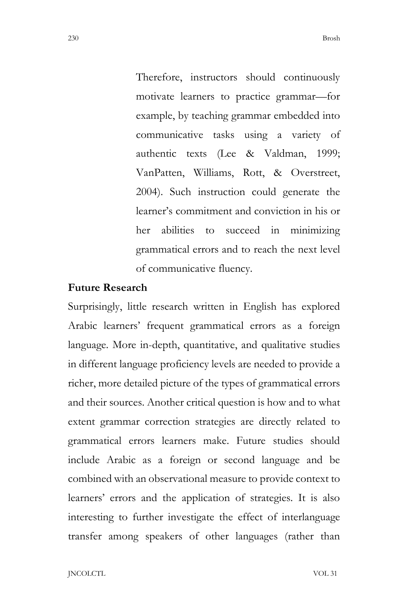Therefore, instructors should continuously motivate learners to practice grammar—for example, by teaching grammar embedded into communicative tasks using a variety of authentic texts (Lee & Valdman, 1999; VanPatten, Williams, Rott, & Overstreet, 2004). Such instruction could generate the learner's commitment and conviction in his or her abilities to succeed in minimizing grammatical errors and to reach the next level of communicative fluency.

#### **Future Research**

Surprisingly, little research written in English has explored Arabic learners' frequent grammatical errors as a foreign language. More in-depth, quantitative, and qualitative studies in different language proficiency levels are needed to provide a richer, more detailed picture of the types of grammatical errors and their sources. Another critical question is how and to what extent grammar correction strategies are directly related to grammatical errors learners make. Future studies should include Arabic as a foreign or second language and be combined with an observational measure to provide context to learners' errors and the application of strategies. It is also interesting to further investigate the effect of interlanguage transfer among speakers of other languages (rather than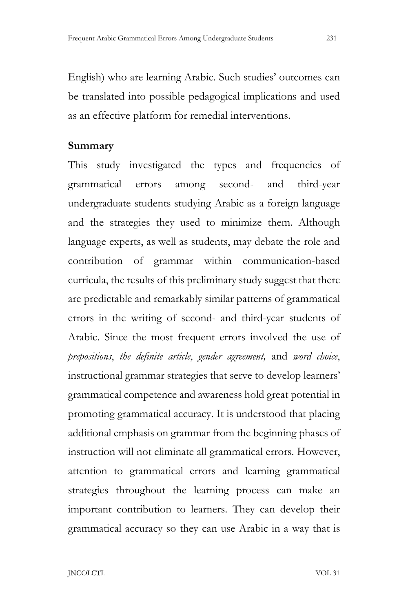English) who are learning Arabic. Such studies' outcomes can be translated into possible pedagogical implications and used as an effective platform for remedial interventions.

### **Summary**

This study investigated the types and frequencies of grammatical errors among second- and third-year undergraduate students studying Arabic as a foreign language and the strategies they used to minimize them. Although language experts, as well as students, may debate the role and contribution of grammar within communication-based curricula, the results of this preliminary study suggest that there are predictable and remarkably similar patterns of grammatical errors in the writing of second- and third-year students of Arabic. Since the most frequent errors involved the use of *prepositions*, *the definite article*, *gender agreement,* and *word choice*, instructional grammar strategies that serve to develop learners' grammatical competence and awareness hold great potential in promoting grammatical accuracy. It is understood that placing additional emphasis on grammar from the beginning phases of instruction will not eliminate all grammatical errors. However, attention to grammatical errors and learning grammatical strategies throughout the learning process can make an important contribution to learners. They can develop their grammatical accuracy so they can use Arabic in a way that is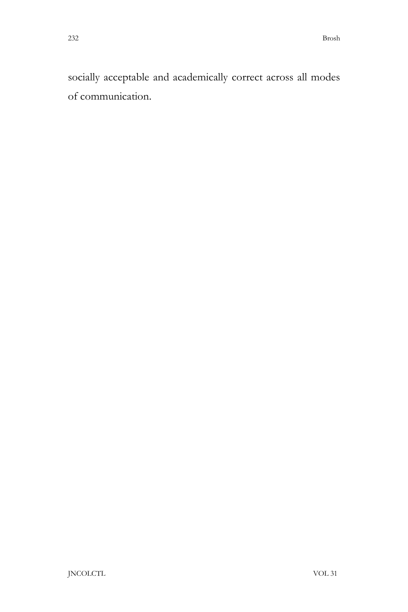socially acceptable and academically correct across all modes of communication.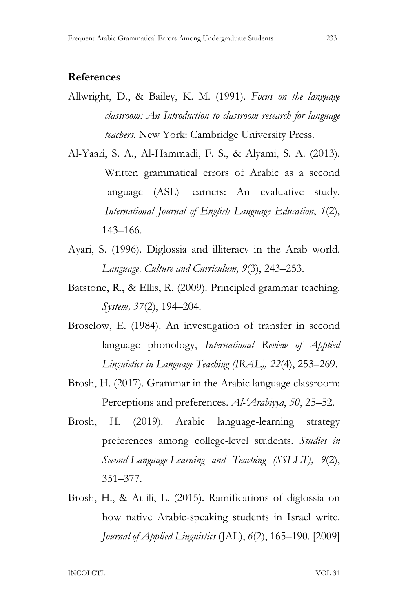## **References**

- Allwright, D., & Bailey, K. M. (1991). *Focus on the language classroom: An Introduction to classroom research for language teachers*. New York: Cambridge University Press.
- Al-Yaari, S. A., Al-Hammadi, F. S., & Alyami, S. A. (2013). Written grammatical errors of Arabic as a second language (ASL) learners: An evaluative study. *International Journal of English Language Education*, *1*(2), 143–166.
- Ayari, S. (1996). Diglossia and illiteracy in the Arab world. *Language, Culture and Curriculum, 9*(3), 243–253.
- Batstone, R., & Ellis, R. (2009). Principled grammar teaching. *System, 37*(2), 194–204.
- Broselow, E. (1984). An investigation of transfer in second language phonology, *International Review of Applied Linguistics in Language Teaching (IRAL), 22*(4), 253–269.
- Brosh, H. (2017). Grammar in the Arabic language classroom: Perceptions and preferences. *Al-'Arabiyya*, *50*, 25–52.
- Brosh, H. (2019). Arabic language-learning strategy preferences among college-level students. *Studies in Second Language Learning and Teaching (SSLLT), 9*(2), 351–377.
- Brosh, H., & Attili, L. (2015). Ramifications of diglossia on how native Arabic-speaking students in Israel write. *Journal of Applied Linguistics* (JAL), *6*(2), 165–190. [2009]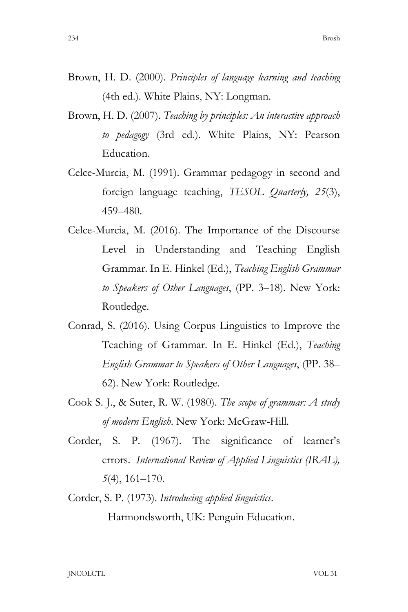- Brown, H. D. (2000). *Principles of language learning and teaching*  (4th ed.). White Plains, NY: Longman.
- Brown, H. D. (2007). *Teaching by principles: An interactive approach to pedagogy* (3rd ed.). White Plains, NY: Pearson Education.
- Celce-Murcia, M. (1991). Grammar pedagogy in second and foreign language teaching, *TESOL Quarterly, 25*(3), 459–480.
- Celce-Murcia, M. (2016). The Importance of the Discourse Level in Understanding and Teaching English Grammar. In E. Hinkel (Ed.), *Teaching English Grammar to Speakers of Other Languages*, (PP. 3–18). New York: Routledge.
- Conrad, S. (2016). Using Corpus Linguistics to Improve the Teaching of Grammar. In E. Hinkel (Ed.), *Teaching English Grammar to Speakers of Other Languages*, (PP. 38– 62). New York: Routledge.
- Cook S. J., & Suter, R. W. (1980). *The scope of grammar: A study of modern English*. New York: McGraw-Hill.
- Corder, S. P. (1967). The significance of learner's errors. *International Review of Applied Linguistics (IRAL), 5*(4), 161–170.
- Corder, S. P. (1973). *Introducing applied linguistics*. Harmondsworth, UK: Penguin Education.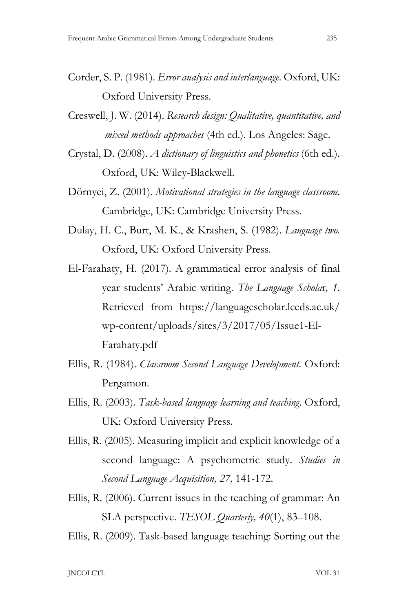- Corder, S. P. (1981). *Error analysis and interlanguage*. Oxford, UK: Oxford University Press.
- Creswell, J. W. (2014). *Research design: Qualitative, quantitative, and mixed methods approaches* (4th ed.). Los Angeles: Sage.
- Crystal, D. (2008). *A dictionary of linguistics and phonetics* (6th ed.). Oxford, UK: Wiley-Blackwell.
- Dörnyei, Z. (2001). *Motivational strategies in the language classroom*. Cambridge, UK: Cambridge University Press.
- Dulay, H. C., Burt, M. K., & Krashen, S. (1982). *Language two*. Oxford, UK: Oxford University Press.
- El-Farahaty, H. (2017). A grammatical error analysis of final year students' Arabic writing. *The Language Schola*r*, 1*. Retrieved from https://languagescholar.leeds.ac.uk/ wp-content/uploads/sites/3/2017/05/Issue1-El-Farahaty.pdf
- Ellis, R. (1984). *Classroom Second Language Development*. Oxford: Pergamon.
- Ellis, R. (2003). *Task-based language learning and teaching*. Oxford, UK: Oxford University Press.
- Ellis, R. (2005). Measuring implicit and explicit knowledge of a second language: A psychometric study. *Studies in Second Language Acquisition, 27,* 141-172.
- Ellis, R. (2006). Current issues in the teaching of grammar: An SLA perspective. *TESOL Quarterly, 40*(1), 83–108.

Ellis, R. (2009). Task-based language teaching: Sorting out the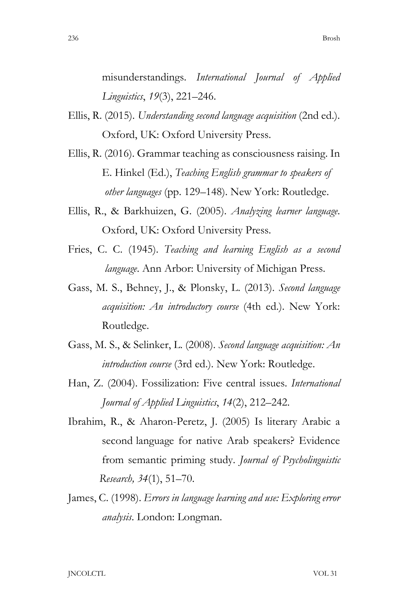misunderstandings. *International Journal of Applied Linguistics*, *19*(3), 221–246.

- Ellis, R. (2015). *Understanding second language acquisition* (2nd ed.). Oxford, UK: Oxford University Press.
- Ellis, R. (2016). Grammar teaching as consciousness raising. In E. Hinkel (Ed.), *Teaching English grammar to speakers of other languages* (pp. 129–148). New York: Routledge.
- Ellis, R., & Barkhuizen, G. (2005). *Analyzing learner language*. Oxford, UK: Oxford University Press.
- Fries, C. C. (1945). *Teaching and learning English as a second language*. Ann Arbor: University of Michigan Press.
- Gass, M. S., Behney, J., & Plonsky, L. (2013). *Second language acquisition: An introductory course* (4th ed.). New York: Routledge.
- Gass, M. S., & Selinker, L. (2008). *Second language acquisition: An introduction course* (3rd ed.). New York: Routledge.
- Han, Z. (2004). Fossilization: Five central issues. *International Journal of Applied Linguistics*, *14*(2), 212–242.
- Ibrahim, R., & Aharon-Peretz, J. (2005) Is literary Arabic a second language for native Arab speakers? Evidence from semantic priming study. *Journal of Psycholinguistic Research, 34*(1), 51–70.
- James, C. (1998). *Errors in language learning and use: Exploring error analysis*. London: Longman.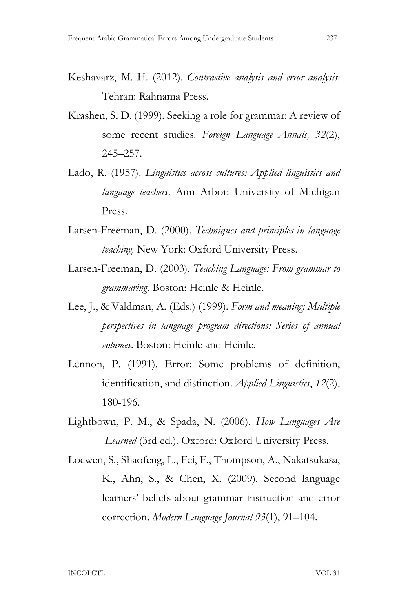- Keshavarz, M. H. (2012). *Contrastive analysis and error analysis*. Tehran: Rahnama Press.
- Krashen, S. D. (1999). Seeking a role for grammar: A review of some recent studies. *Foreign Language Annals, 32*(2), 245–257.
- Lado, R. (1957). *Linguistics across cultures: Applied linguistics and language teachers*. Ann Arbor: University of Michigan Press.
- Larsen-Freeman, D. (2000). *Techniques and principles in language teaching*. New York: Oxford University Press.
- Larsen-Freeman, D. (2003). *Teaching Language: From grammar to grammaring*. Boston: Heinle & Heinle.
- Lee, J., & Valdman, A. (Eds.) (1999). *Form and meaning: Multiple perspectives in language program directions: Series of annual volumes*. Boston: Heinle and Heinle.
- Lennon, P. (1991). Error: Some problems of definition, identification, and distinction. *Applied Linguistics*, *12*(2), 180-196.
- Lightbown, P. M., & Spada, N. (2006). *How Languages Are Learned* (3rd ed.). Oxford: Oxford University Press.
- Loewen, S., Shaofeng, L., Fei, F., Thompson, A., Nakatsukasa, K., Ahn, S., & Chen, X. (2009). Second language learners' beliefs about grammar instruction and error correction. *Modern Language Journal 93*(1), 91–104.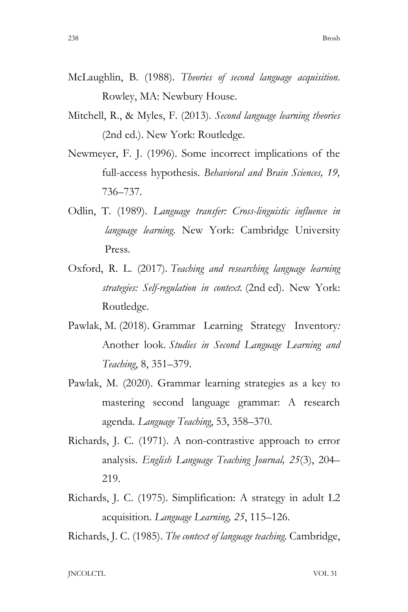- McLaughlin, B. (1988). *Theories of second language acquisition*. Rowley, MA: Newbury House.
- Mitchell, R., & Myles, F. (2013). *Second language learning theories* (2nd ed.). New York: Routledge.
- Newmeyer, F. J. (1996). Some incorrect implications of the full-access hypothesis. *Behavioral and Brain Sciences, 19,* 736–737.
- Odlin, T. (1989). *Language transfer: Cross-linguistic influence in language learning*. New York: Cambridge University Press.
- Oxford, R. L. (2017). *Teaching and researching language learning strategies: Self-regulation in context.* (2nd ed). New York: Routledge.
- Pawlak, M. (2018). Grammar Learning Strategy Inventory*:* Another look. *Studies in Second Language Learning and Teaching*, 8, 351–379.
- Pawlak, M. (2020). Grammar learning strategies as a key to mastering second language grammar: A research agenda. *Language Teaching*, 53, 358–370.
- Richards, J. C. (1971). A non-contrastive approach to error analysis. *English Language Teaching Journal, 25*(3), 204– 219.
- Richards, J. C. (1975). Simplification: A strategy in adult L2 acquisition. *Language Learning, 25*, 115–126.

Richards, J. C. (1985). *The context of language teaching.* Cambridge,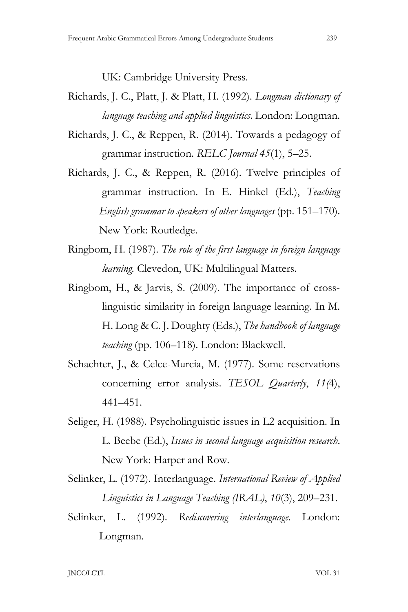UK: Cambridge University Press.

- Richards, J. C., Platt, J. & Platt, H. (1992). *Longman dictionary of language teaching and applied linguistics*. London: Longman.
- Richards, J. C., & Reppen, R. (2014). Towards a pedagogy of grammar instruction. *RELC Journal 45*(1), 5–25.
- Richards, J. C., & Reppen, R. (2016). Twelve principles of grammar instruction. In E. Hinkel (Ed.), *Teaching English grammar to speakers of other languages* (pp. 151–170). New York: Routledge.
- Ringbom, H. (1987). *The role of the first language in foreign language learning.* Clevedon, UK: Multilingual Matters.
- Ringbom, H., & Jarvis, S. (2009). The importance of crosslinguistic similarity in foreign language learning. In M. H. Long & C. J. Doughty (Eds.), *The handbook of language teaching* (pp. 106–118). London: Blackwell.
- Schachter, J., & Celce-Murcia, M. (1977). Some reservations concerning error analysis. *TESOL Quarterly*, *11(*4), 441–451.
- Seliger, H. (1988). Psycholinguistic issues in L2 acquisition. In L. Beebe (Ed.), *Issues in second language acquisition research*. New York: Harper and Row.
- Selinker, L. (1972). Interlanguage. *International Review of Applied Linguistics in Language Teaching (IRAL)*, *10*(3), 209–231.
- Selinker, L. (1992). *Rediscovering interlanguage*. London: Longman.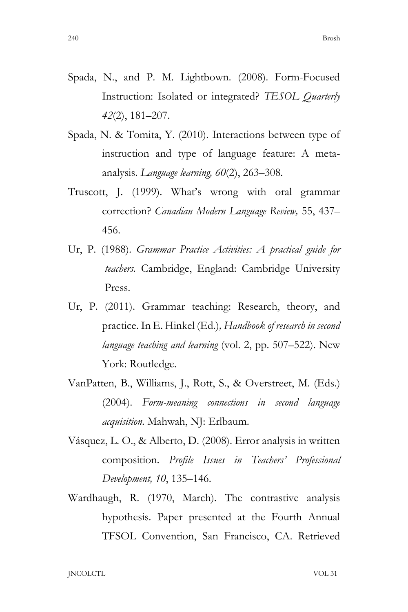- Spada, N., and P. M. Lightbown. (2008). Form-Focused Instruction: Isolated or integrated? *TESOL Quarterly 42*(2), 181–207.
- Spada, N. & Tomita, Y. (2010). Interactions between type of instruction and type of language feature: A meta analysis. *Language learning, 60*(2), 263–308.
- Truscott, J. (1999). What's wrong with oral grammar correction? *Canadian Modern Language Review,* 55, 437– 456.
- Ur, P. (1988). *Grammar Practice Activities: A practical guide for teachers.* Cambridge, England: Cambridge University Press.
- Ur, P. (2011). Grammar teaching: Research, theory, and practice. In E. Hinkel (Ed.)*, Handbook of research in second language teaching and learning* (vol. 2, pp. 507–522). New York: Routledge.
- VanPatten, B., Williams, J., Rott, S., & Overstreet, M. (Eds.) (2004). *Form-meaning connections in second language acquisition.* Mahwah, NJ: Erlbaum.
- Vásquez, L. O., & Alberto, D. (2008). Error analysis in written composition. *Profile Issues in Teachers' Professional Development, 10*, 135–146.
- Wardhaugh, R. (1970, March). The contrastive analysis hypothesis. Paper presented at the Fourth Annual TFSOL Convention, San Francisco, CA. Retrieved